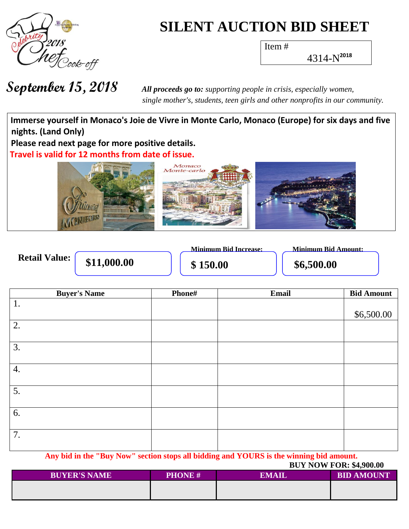

# **SILENT AUCTION BID SHEET**

Item #

4314-N **2018**

 *single mother's, students, teen girls and other nonprofits in our community.*

**Wh a t h Immerse yourself in Monaco's Joie de Vivre in Monte Carlo, Monaco (Europe) for six days and five nights. (Land Only)** Please read next page for more positive details. **val Travel is valid for 12 months from date of issue.**



|                      |             | <b>Minimum Rid Increase:</b> | Minimum Bid Amount: |
|----------------------|-------------|------------------------------|---------------------|
| <b>Retail Value:</b> | \$11,000.00 | \$150.00                     | \$6,500.00          |

| <b>Buyer's Name</b> | Phone# | Email | <b>Bid Amount</b> |
|---------------------|--------|-------|-------------------|
| 1.                  |        |       |                   |
|                     |        |       | \$6,500.00        |
| 2.                  |        |       |                   |
|                     |        |       |                   |
| 3.                  |        |       |                   |
|                     |        |       |                   |
| 4.                  |        |       |                   |
|                     |        |       |                   |
| 5.                  |        |       |                   |
|                     |        |       |                   |
| 6.                  |        |       |                   |
|                     |        |       |                   |
| 7.                  |        |       |                   |
|                     |        |       |                   |
|                     |        |       |                   |

**Any bid in the "Buy Now" section stops all bidding and YOURS is the winning bid amount.**

|                     |               | <b>BUY NOW FOR: \$4,900.00</b> |                   |  |
|---------------------|---------------|--------------------------------|-------------------|--|
| <b>BUYER'S NAME</b> | <b>PHONE#</b> | <b>EMAIL</b>                   | <b>BID AMOUNT</b> |  |
|                     |               |                                |                   |  |
|                     |               |                                |                   |  |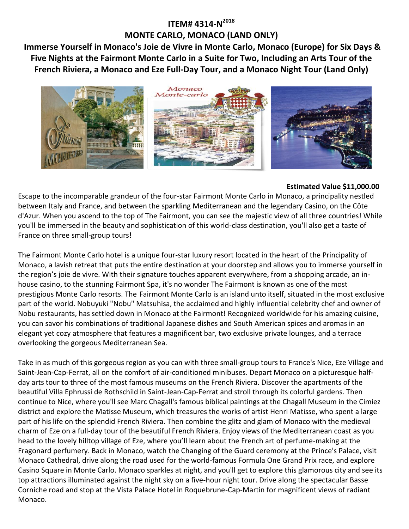## **ITEM# 4314-N 2018 MONTE CARLO, MONACO (LAND ONLY)**

**Immerse Yourself in Monaco's Joie de Vivre in Monte Carlo, Monaco (Europe) for Six Days & Five Nights at the Fairmont Monte Carlo in a Suite for Two, Including an Arts Tour of the French Riviera, a Monaco and Eze Full-Day Tour, and a Monaco Night Tour (Land Only)**



#### **Estimated Value \$11,000.00**

Escape to the incomparable grandeur of the four-star Fairmont Monte Carlo in Monaco, a principality nestled between Italy and France, and between the sparkling Mediterranean and the legendary Casino, on the Côte d'Azur. When you ascend to the top of The Fairmont, you can see the majestic view of all three countries! While you'll be immersed in the beauty and sophistication of this world-class destination, you'll also get a taste of France on three small-group tours!

The Fairmont Monte Carlo hotel is a unique four-star luxury resort located in the heart of the Principality of Monaco, a lavish retreat that puts the entire destination at your doorstep and allows you to immerse yourself in the region's joie de vivre. With their signature touches apparent everywhere, from a shopping arcade, an inhouse casino, to the stunning Fairmont Spa, it's no wonder The Fairmont is known as one of the most prestigious Monte Carlo resorts. The Fairmont Monte Carlo is an island unto itself, situated in the most exclusive part of the world. Nobuyuki "Nobu" Matsuhisa, the acclaimed and highly influential celebrity chef and owner of Nobu restaurants, has settled down in Monaco at the Fairmont! Recognized worldwide for his amazing cuisine, you can savor his combinations of traditional Japanese dishes and South American spices and aromas in an elegant yet cozy atmosphere that features a magnificent bar, two exclusive private lounges, and a terrace overlooking the gorgeous Mediterranean Sea.

Take in as much of this gorgeous region as you can with three small-group tours to France's Nice, Eze Village and Saint-Jean-Cap-Ferrat, all on the comfort of air-conditioned minibuses. Depart Monaco on a picturesque halfday arts tour to three of the most famous museums on the French Riviera. Discover the apartments of the beautiful Villa Ephrussi de Rothschild in Saint-Jean-Cap-Ferrat and stroll through its colorful gardens. Then continue to Nice, where you'll see Marc Chagall's famous biblical paintings at the Chagall Museum in the Cimiez district and explore the Matisse Museum, which treasures the works of artist Henri Matisse, who spent a large part of his life on the splendid French Riviera. Then combine the glitz and glam of Monaco with the medieval charm of Eze on a full-day tour of the beautiful French Riviera. Enjoy views of the Mediterranean coast as you head to the lovely hilltop village of Eze, where you'll learn about the French art of perfume-making at the Fragonard perfumery. Back in Monaco, watch the Changing of the Guard ceremony at the Prince's Palace, visit Monaco Cathedral, drive along the road used for the world-famous Formula One Grand Prix race, and explore Casino Square in Monte Carlo. Monaco sparkles at night, and you'll get to explore this glamorous city and see its top attractions illuminated against the night sky on a five-hour night tour. Drive along the spectacular Basse Corniche road and stop at the Vista Palace Hotel in Roquebrune-Cap-Martin for magnificent views of radiant Monaco.